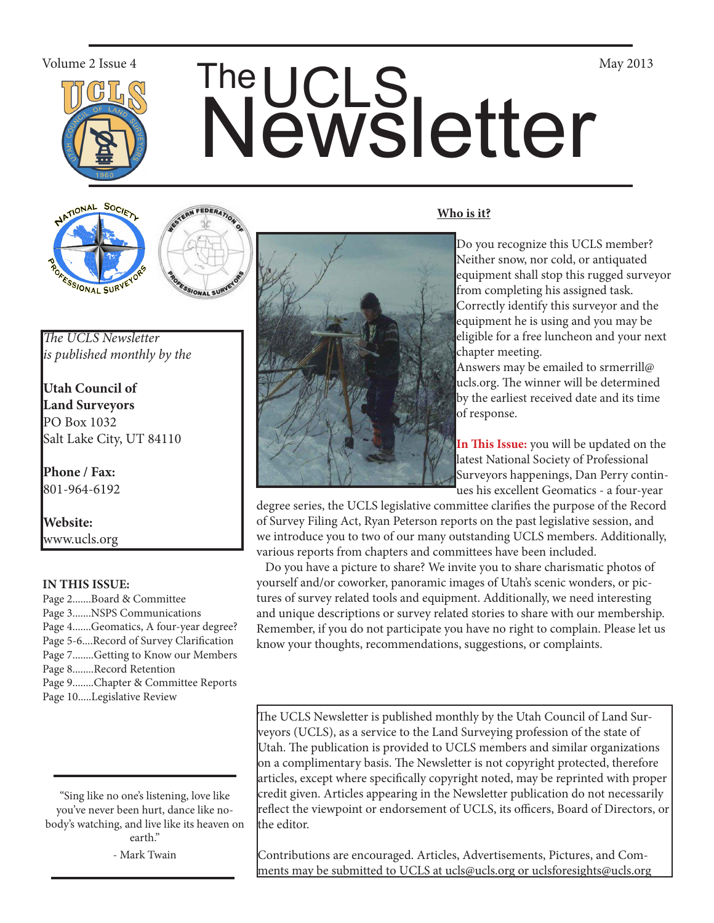

# Volume 2 Issue 4<br>
The UCLS<br>
Newsletter

TIONAL SOCIET ONAL SUR



*The UCLS Newsletter is published monthly by the*

**Utah Council of Land Surveyors** PO Box 1032 Salt Lake City, UT 84110

**Phone / Fax:**  801-964-6192

**Website:** www.ucls.org

### **IN THIS ISSUE:**

- Page 2.......Board & Committee Page 3.......NSPS Communications Page 4.......Geomatics, A four-year degree? Page 5-6....Record of Survey Clarification Page 7........Getting to Know our Members Page 8........Record Retention Page 9........Chapter & Committee Reports
- Page 10.....Legislative Review

"Sing like no one's listening, love like you've never been hurt, dance like nobody's watching, and live like its heaven on earth."

- Mark Twain



#### **Who is it?**

Do you recognize this UCLS member? Neither snow, nor cold, or antiquated equipment shall stop this rugged surveyor from completing his assigned task. Correctly identify this surveyor and the equipment he is using and you may be eligible for a free luncheon and your next chapter meeting.

Answers may be emailed to srmerrill@ ucls.org. The winner will be determined by the earliest received date and its time of response.

**In This Issue:** you will be updated on the latest National Society of Professional Surveyors happenings, Dan Perry continues his excellent Geomatics - a four-year

degree series, the UCLS legislative committee clarifies the purpose of the Record of Survey Filing Act, Ryan Peterson reports on the past legislative session, and we introduce you to two of our many outstanding UCLS members. Additionally, various reports from chapters and committees have been included.

 Do you have a picture to share? We invite you to share charismatic photos of yourself and/or coworker, panoramic images of Utah's scenic wonders, or pictures of survey related tools and equipment. Additionally, we need interesting and unique descriptions or survey related stories to share with our membership. Remember, if you do not participate you have no right to complain. Please let us know your thoughts, recommendations, suggestions, or complaints.

The UCLS Newsletter is published monthly by the Utah Council of Land Surveyors (UCLS), as a service to the Land Surveying profession of the state of Utah. The publication is provided to UCLS members and similar organizations on a complimentary basis. The Newsletter is not copyright protected, therefore articles, except where specifically copyright noted, may be reprinted with proper credit given. Articles appearing in the Newsletter publication do not necessarily reflect the viewpoint or endorsement of UCLS, its officers, Board of Directors, or the editor.

Contributions are encouraged. Articles, Advertisements, Pictures, and Comments may be submitted to UCLS at ucls@ucls.org or uclsforesights@ucls.org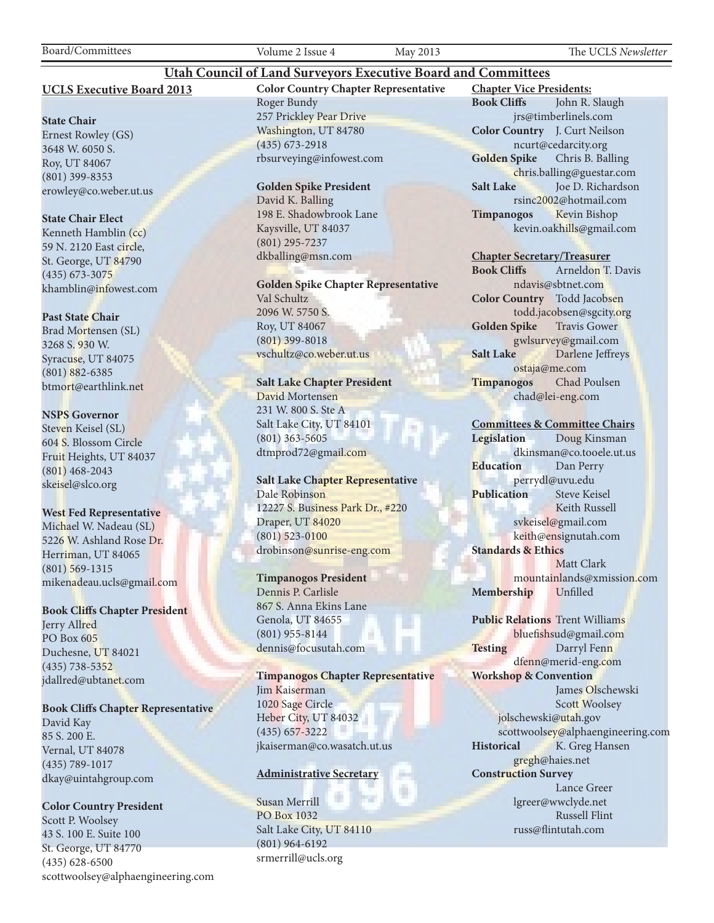Board/Committees Volume 2 Issue 4 May 2013 The UCLS *Newsletter*

#### **UCLS Executive Board 2013**

#### **State Chair**

Ernest Rowley (GS) 3648 W. 6050 S. Roy, UT 84067 (801) 399-8353 erowley@co.weber.ut.us

#### **State Chair Elect**

Kenneth Hamblin (cc) 59 N. 2120 East circle, St. George, UT 84790 (435) 673-3075 khamblin@infowest.com

#### **Past State Chair**

Brad Mortensen (SL) 3268 S. 930 W. Syracuse, UT 84075 (801) 882-6385 btmort@earthlink.net

#### **NSPS Governor**

Steven Keisel (SL) 604 S. Blossom Circle Fruit Heights, UT 84037 (801) 468-2043 skeisel@slco.org

#### **West Fed Representative**

Michael W. Nadeau (SL) 5226 W. Ashland Rose Dr. Herriman, UT 84065 (801) 569-1315 mikenadeau.ucls@gmail.com

#### **Book Cliffs Chapter President**

Jerry Allred PO Box 605 Duchesne, UT 84021 (435) 738-5352 jdallred@ubtanet.com

#### **Book Cliffs Chapter Representative**

David Kay 85 S. 200 E. Vernal, UT 84078 (435) 789-1017 dkay@uintahgroup.com

#### **Color Country President**

Scott P. Woolsey 43 S. 100 E. Suite 100 St. George, UT 84770 (435) 628-6500 scottwoolsey@alphaengineering.com **Color Country Chapter Representative** Roger Bundy 257 Prickley Pear Drive Washington, UT 84780 (435) 673-2918 rbsurveying@infowest.com

**Utah Council of Land Surveyors Executive Board and Committees**

#### **Golden Spike President**

David K. Balling 198 E. Shadowbrook Lane Kaysville, UT 84037 (801) 295-7237 dkballing@msn.com

**Golden Spike Chapter Representative** Val Schultz 2096 W. 5750 S. Roy, UT 84067

(801) 399-8018 vschultz@co.weber.ut.us

#### **Salt Lake Chapter President**

David Mortensen 231 W. 800 S. Ste A Salt Lake City, UT 84101 (801) 363-5605 dtmprod72@gmail.com

#### **Salt Lake Chapter Representative** Dale Robinson 12227 S. Business Park Dr., #220 Draper, UT 84020 (801) 523-0100 drobinson@sunrise-eng.com

#### **Timpanogos President**

Dennis P. Carlisle 867 S. Anna Ekins Lane Genola, UT 84655 (801) 955-8144 dennis@focusutah.com

**Timpanogos Chapter Representative** Jim Kaiserman 1020 Sage Circle Heber City, UT 84032 (435) 657-3222 jkaiserman@co.wasatch.ut.us

#### **Administrative Secretary**

Susan Merrill PO Box 1032 Salt Lake City, UT 84110 (801) 964-6192 srmerrill@ucls.org

**Chapter Vice Presidents: Book Cliffs** John R. Slaugh jrs@timberlinels.com **Color Country** J. Curt Neilson ncurt@cedarcity.org **Golden Spike** Chris B. Balling chris.balling@guestar.com **Salt Lake** Joe D. Richardson rsinc2002@hotmail.com **Timpanogos** Kevin Bishop kevin.oakhills@gmail.com

#### **Chapter Secretary/Treasurer**

**Book Cliffs** Arneldon T. Davis ndavis@sbtnet.com **Color Country** Todd Jacobsen todd.jacobsen@sgcity.org **Golden Spike** Travis Gower gwlsurvey@gmail.com **Salt Lake** Darlene Jeffreys ostaja@me.com **Timpanogos** Chad Poulsen chad@lei-eng.com

#### **Committees & Committee Chairs**

**Legislation** Doug Kinsman dkinsman@co.tooele.ut.us **Education** Dan Perry perrydl@uvu.edu **Publication** Steve Keisel Keith Russell svkeisel@gmail.com keith@ensignutah.com **Standards & Ethics** Matt Clark mountainlands@xmission.com **Membership** Unfilled

**Public Relations** Trent Williams bluefishsud@gmail.com Testing Darryl Fenn dfenn@merid-eng.com **Workshop & Convention** James Olschewski Scott Woolsey jolschewski@utah.gov scottwoolsey@alphaengineering.com Historical K. Greg Hansen gregh@haies.net **Construction Survey** Lance Greer lgreer@wwclyde.net Russell Flint russ@flintutah.com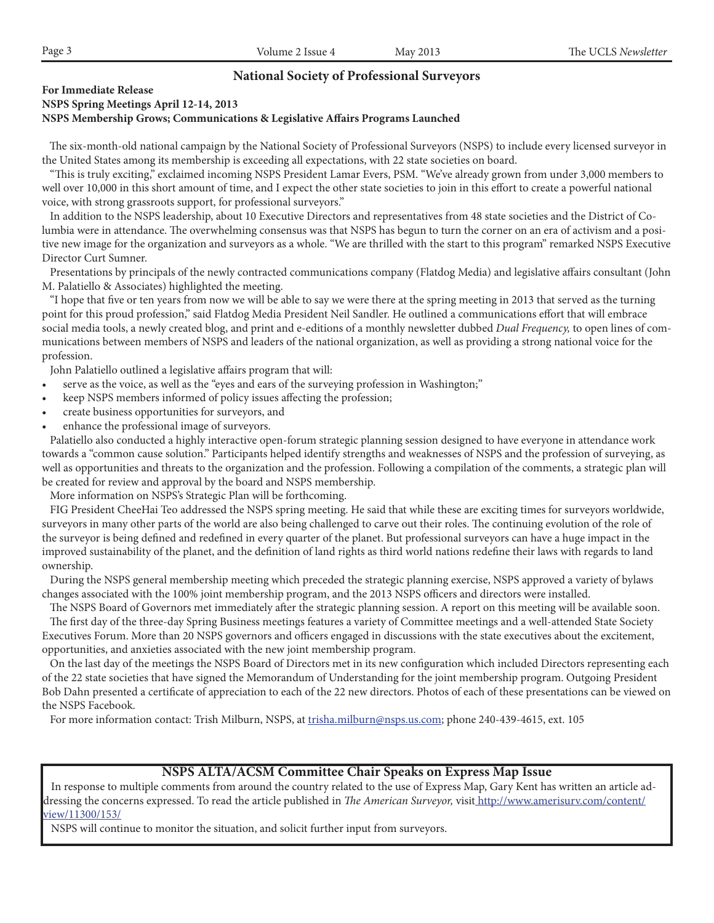#### **National Society of Professional Surveyors**

#### **For Immediate Release**

#### **NSPS Spring Meetings April 12-14, 2013 NSPS Membership Grows; Communications & Legislative Affairs Programs Launched**

The six-month-old national campaign by the National Society of Professional Surveyors (NSPS) to include every licensed surveyor in the United States among its membership is exceeding all expectations, with 22 state societies on board.

 "This is truly exciting," exclaimed incoming NSPS President Lamar Evers, PSM. "We've already grown from under 3,000 members to well over 10,000 in this short amount of time, and I expect the other state societies to join in this effort to create a powerful national voice, with strong grassroots support, for professional surveyors."

 In addition to the NSPS leadership, about 10 Executive Directors and representatives from 48 state societies and the District of Columbia were in attendance. The overwhelming consensus was that NSPS has begun to turn the corner on an era of activism and a positive new image for the organization and surveyors as a whole. "We are thrilled with the start to this program" remarked NSPS Executive Director Curt Sumner.

 Presentations by principals of the newly contracted communications company (Flatdog Media) and legislative affairs consultant (John M. Palatiello & Associates) highlighted the meeting.

 "I hope that five or ten years from now we will be able to say we were there at the spring meeting in 2013 that served as the turning point for this proud profession," said Flatdog Media President Neil Sandler. He outlined a communications effort that will embrace social media tools, a newly created blog, and print and e-editions of a monthly newsletter dubbed *Dual Frequency,* to open lines of communications between members of NSPS and leaders of the national organization, as well as providing a strong national voice for the profession.

John Palatiello outlined a legislative affairs program that will:

- serve as the voice, as well as the "eyes and ears of the surveying profession in Washington;"
- keep NSPS members informed of policy issues affecting the profession;
- create business opportunities for surveyors, and
- enhance the professional image of surveyors.

 Palatiello also conducted a highly interactive open-forum strategic planning session designed to have everyone in attendance work towards a "common cause solution." Participants helped identify strengths and weaknesses of NSPS and the profession of surveying, as well as opportunities and threats to the organization and the profession. Following a compilation of the comments, a strategic plan will be created for review and approval by the board and NSPS membership.

More information on NSPS's Strategic Plan will be forthcoming.

 FIG President CheeHai Teo addressed the NSPS spring meeting. He said that while these are exciting times for surveyors worldwide, surveyors in many other parts of the world are also being challenged to carve out their roles. The continuing evolution of the role of the surveyor is being defined and redefined in every quarter of the planet. But professional surveyors can have a huge impact in the improved sustainability of the planet, and the definition of land rights as third world nations redefine their laws with regards to land ownership.

 During the NSPS general membership meeting which preceded the strategic planning exercise, NSPS approved a variety of bylaws changes associated with the 100% joint membership program, and the 2013 NSPS officers and directors were installed.

 The NSPS Board of Governors met immediately after the strategic planning session. A report on this meeting will be available soon. The first day of the three-day Spring Business meetings features a variety of Committee meetings and a well-attended State Society Executives Forum. More than 20 NSPS governors and officers engaged in discussions with the state executives about the excitement, opportunities, and anxieties associated with the new joint membership program.

 On the last day of the meetings the NSPS Board of Directors met in its new configuration which included Directors representing each of the 22 state societies that have signed the Memorandum of Understanding for the joint membership program. Outgoing President Bob Dahn presented a certificate of appreciation to each of the 22 new directors. Photos of each of these presentations can be viewed on the NSPS Facebook.

For more information contact: Trish Milburn, NSPS, at trisha.milburn@nsps.us.com; phone 240-439-4615, ext. 105

#### **NSPS ALTA/ACSM Committee Chair Speaks on Express Map Issue**

 In response to multiple comments from around the country related to the use of Express Map, Gary Kent has written an article addressing the concerns expressed. To read the article published in *The American Surveyor,* visit http://www.amerisurv.com/content/ view/11300/153/

NSPS will continue to monitor the situation, and solicit further input from surveyors.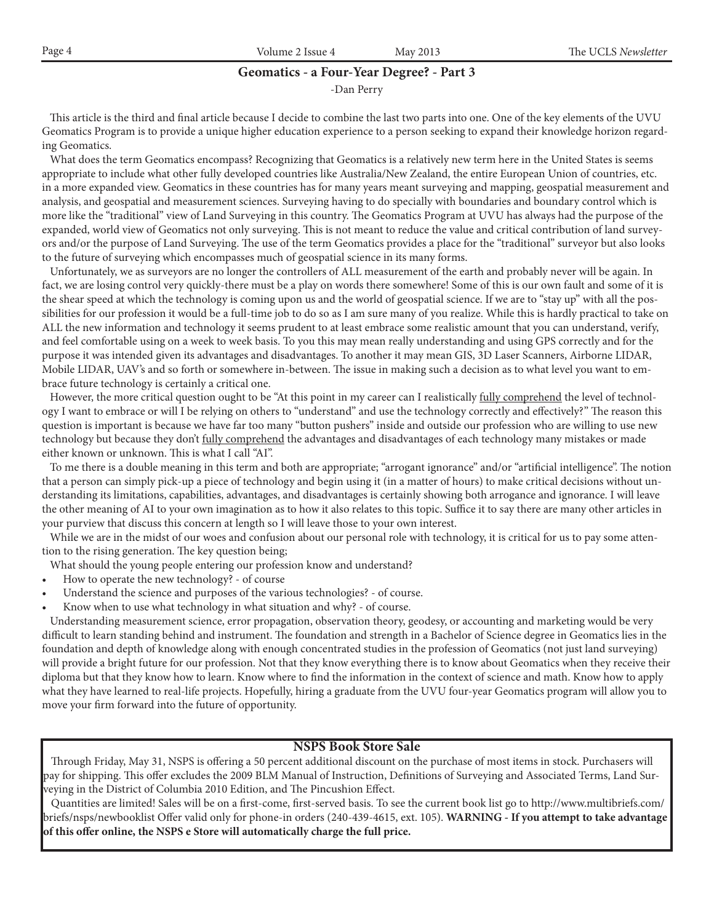|  | Page | 0.0110<br>æ<br>п.<br>- ISSHt. | $\Omega$<br>$\Lambda/\Lambda$<br>$\sim$ $\sim$ $\sim$ | <br><b>SLELLE</b> |
|--|------|-------------------------------|-------------------------------------------------------|-------------------|
|--|------|-------------------------------|-------------------------------------------------------|-------------------|

#### **Geomatics - a Four-Year Degree? - Part 3**

-Dan Perry

 This article is the third and final article because I decide to combine the last two parts into one. One of the key elements of the UVU Geomatics Program is to provide a unique higher education experience to a person seeking to expand their knowledge horizon regarding Geomatics.

 What does the term Geomatics encompass? Recognizing that Geomatics is a relatively new term here in the United States is seems appropriate to include what other fully developed countries like Australia/New Zealand, the entire European Union of countries, etc. in a more expanded view. Geomatics in these countries has for many years meant surveying and mapping, geospatial measurement and analysis, and geospatial and measurement sciences. Surveying having to do specially with boundaries and boundary control which is more like the "traditional" view of Land Surveying in this country. The Geomatics Program at UVU has always had the purpose of the expanded, world view of Geomatics not only surveying. This is not meant to reduce the value and critical contribution of land surveyors and/or the purpose of Land Surveying. The use of the term Geomatics provides a place for the "traditional" surveyor but also looks to the future of surveying which encompasses much of geospatial science in its many forms.

 Unfortunately, we as surveyors are no longer the controllers of ALL measurement of the earth and probably never will be again. In fact, we are losing control very quickly-there must be a play on words there somewhere! Some of this is our own fault and some of it is the shear speed at which the technology is coming upon us and the world of geospatial science. If we are to "stay up" with all the possibilities for our profession it would be a full-time job to do so as I am sure many of you realize. While this is hardly practical to take on ALL the new information and technology it seems prudent to at least embrace some realistic amount that you can understand, verify, and feel comfortable using on a week to week basis. To you this may mean really understanding and using GPS correctly and for the purpose it was intended given its advantages and disadvantages. To another it may mean GIS, 3D Laser Scanners, Airborne LIDAR, Mobile LIDAR, UAV's and so forth or somewhere in-between. The issue in making such a decision as to what level you want to embrace future technology is certainly a critical one.

However, the more critical question ought to be "At this point in my career can I realistically fully comprehend the level of technology I want to embrace or will I be relying on others to "understand" and use the technology correctly and effectively?" The reason this question is important is because we have far too many "button pushers" inside and outside our profession who are willing to use new technology but because they don't fully comprehend the advantages and disadvantages of each technology many mistakes or made either known or unknown. This is what I call "AI".

 To me there is a double meaning in this term and both are appropriate; "arrogant ignorance" and/or "artificial intelligence". The notion that a person can simply pick-up a piece of technology and begin using it (in a matter of hours) to make critical decisions without understanding its limitations, capabilities, advantages, and disadvantages is certainly showing both arrogance and ignorance. I will leave the other meaning of AI to your own imagination as to how it also relates to this topic. Suffice it to say there are many other articles in your purview that discuss this concern at length so I will leave those to your own interest.

 While we are in the midst of our woes and confusion about our personal role with technology, it is critical for us to pay some attention to the rising generation. The key question being;

What should the young people entering our profession know and understand?

- How to operate the new technology? of course
- Understand the science and purposes of the various technologies? of course.
- Know when to use what technology in what situation and why? of course.

 Understanding measurement science, error propagation, observation theory, geodesy, or accounting and marketing would be very difficult to learn standing behind and instrument. The foundation and strength in a Bachelor of Science degree in Geomatics lies in the foundation and depth of knowledge along with enough concentrated studies in the profession of Geomatics (not just land surveying) will provide a bright future for our profession. Not that they know everything there is to know about Geomatics when they receive their diploma but that they know how to learn. Know where to find the information in the context of science and math. Know how to apply what they have learned to real-life projects. Hopefully, hiring a graduate from the UVU four-year Geomatics program will allow you to move your firm forward into the future of opportunity.

#### **NSPS Book Store Sale**

 Through Friday, May 31, NSPS is offering a 50 percent additional discount on the purchase of most items in stock. Purchasers will pay for shipping. This offer excludes the 2009 BLM Manual of Instruction, Definitions of Surveying and Associated Terms, Land Surveying in the District of Columbia 2010 Edition, and The Pincushion Effect.

 Quantities are limited! Sales will be on a first-come, first-served basis. To see the current book list go to http://www.multibriefs.com/ briefs/nsps/newbooklist Offer valid only for phone-in orders (240-439-4615, ext. 105). **WARNING - If you attempt to take advantage of this offer online, the NSPS e Store will automatically charge the full price.**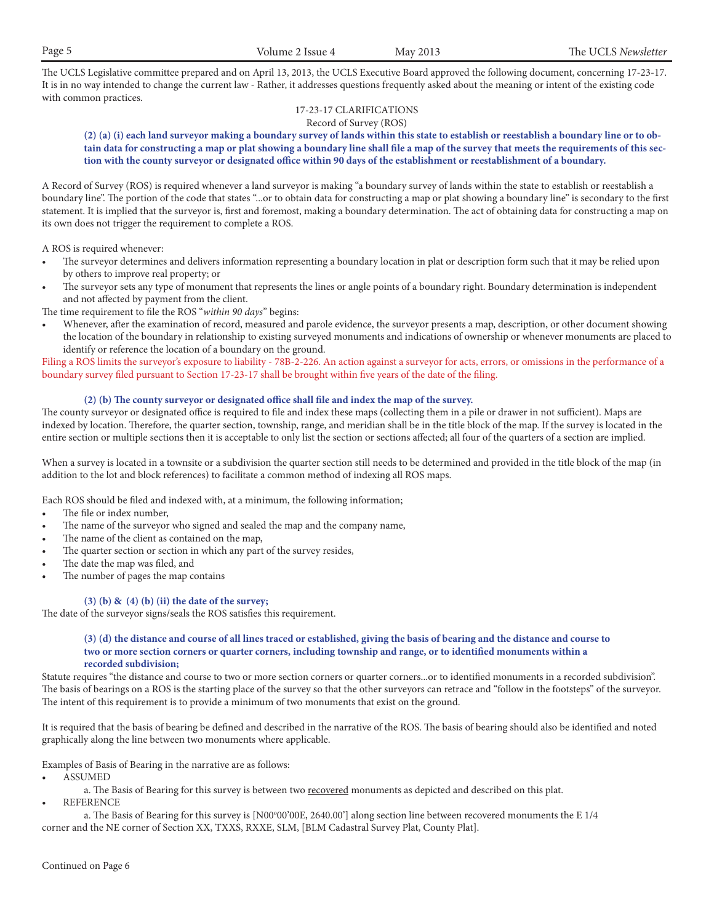The UCLS Legislative committee prepared and on April 13, 2013, the UCLS Executive Board approved the following document, concerning 17-23-17. It is in no way intended to change the current law - Rather, it addresses questions frequently asked about the meaning or intent of the existing code with common practices.

#### 17-23-17 CLARIFICATIONS Record of Survey (ROS)

#### **(2) (a) (i) each land surveyor making a boundary survey of lands within this state to establish or reestablish a boundary line or to obtain data for constructing a map or plat showing a boundary line shall file a map of the survey that meets the requirements of this section with the county surveyor or designated office within 90 days of the establishment or reestablishment of a boundary.**

A Record of Survey (ROS) is required whenever a land surveyor is making "a boundary survey of lands within the state to establish or reestablish a boundary line". The portion of the code that states "...or to obtain data for constructing a map or plat showing a boundary line" is secondary to the first statement. It is implied that the surveyor is, first and foremost, making a boundary determination. The act of obtaining data for constructing a map on its own does not trigger the requirement to complete a ROS.

A ROS is required whenever:

- The surveyor determines and delivers information representing a boundary location in plat or description form such that it may be relied upon by others to improve real property; or
- The surveyor sets any type of monument that represents the lines or angle points of a boundary right. Boundary determination is independent and not affected by payment from the client.

The time requirement to file the ROS "*within 90 days*" begins:

Whenever, after the examination of record, measured and parole evidence, the surveyor presents a map, description, or other document showing the location of the boundary in relationship to existing surveyed monuments and indications of ownership or whenever monuments are placed to identify or reference the location of a boundary on the ground.

Filing a ROS limits the surveyor's exposure to liability - 78B-2-226. An action against a surveyor for acts, errors, or omissions in the performance of a boundary survey filed pursuant to Section 17-23-17 shall be brought within five years of the date of the filing.

#### **(2) (b) The county surveyor or designated office shall file and index the map of the survey.**

The county surveyor or designated office is required to file and index these maps (collecting them in a pile or drawer in not sufficient). Maps are indexed by location. Therefore, the quarter section, township, range, and meridian shall be in the title block of the map. If the survey is located in the entire section or multiple sections then it is acceptable to only list the section or sections affected; all four of the quarters of a section are implied.

When a survey is located in a townsite or a subdivision the quarter section still needs to be determined and provided in the title block of the map (in addition to the lot and block references) to facilitate a common method of indexing all ROS maps.

Each ROS should be filed and indexed with, at a minimum, the following information;

- The file or index number,
- The name of the surveyor who signed and sealed the map and the company name,
- The name of the client as contained on the map,
- The quarter section or section in which any part of the survey resides,
- The date the map was filed, and
- The number of pages the map contains

#### **(3) (b) & (4) (b) (ii) the date of the survey;**

The date of the surveyor signs/seals the ROS satisfies this requirement.

#### **(3) (d) the distance and course of all lines traced or established, giving the basis of bearing and the distance and course to two or more section corners or quarter corners, including township and range, or to identified monuments within a recorded subdivision;**

Statute requires "the distance and course to two or more section corners or quarter corners...or to identified monuments in a recorded subdivision". The basis of bearings on a ROS is the starting place of the survey so that the other surveyors can retrace and "follow in the footsteps" of the surveyor. The intent of this requirement is to provide a minimum of two monuments that exist on the ground.

It is required that the basis of bearing be defined and described in the narrative of the ROS. The basis of bearing should also be identified and noted graphically along the line between two monuments where applicable.

Examples of Basis of Bearing in the narrative are as follows:

**ASSUMED** 

a. The Basis of Bearing for this survey is between two recovered monuments as depicted and described on this plat.

**REFERENCE** 

a. The Basis of Bearing for this survey is [N00°00'00E, 2640.00'] along section line between recovered monuments the E 1/4 corner and the NE corner of Section XX, TXXS, RXXE, SLM, [BLM Cadastral Survey Plat, County Plat].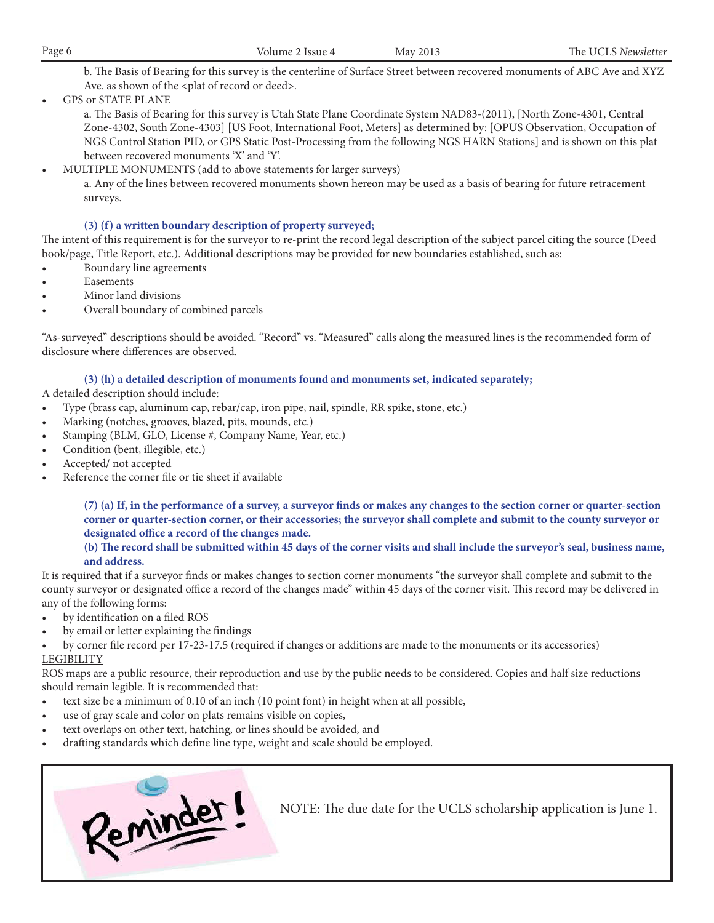| Page 6 | Volume 2<br>Issue 4 | May 2013 | The<br>Newsletter<br>$\sim$ UCL $_{\odot}$ . |
|--------|---------------------|----------|----------------------------------------------|
|        |                     |          |                                              |

b. The Basis of Bearing for this survey is the centerline of Surface Street between recovered monuments of ABC Ave and XYZ Ave. as shown of the <plat of record or deed>.

**GPS or STATE PLANE** 

a. The Basis of Bearing for this survey is Utah State Plane Coordinate System NAD83-(2011), [North Zone-4301, Central Zone-4302, South Zone-4303] [US Foot, International Foot, Meters] as determined by: [OPUS Observation, Occupation of NGS Control Station PID, or GPS Static Post-Processing from the following NGS HARN Stations] and is shown on this plat between recovered monuments 'X' and 'Y'.

MULTIPLE MONUMENTS (add to above statements for larger surveys)

a. Any of the lines between recovered monuments shown hereon may be used as a basis of bearing for future retracement surveys.

#### **(3) (f) a written boundary description of property surveyed;**

The intent of this requirement is for the surveyor to re-print the record legal description of the subject parcel citing the source (Deed book/page, Title Report, etc.). Additional descriptions may be provided for new boundaries established, such as:

- Boundary line agreements
- Easements
- Minor land divisions
- Overall boundary of combined parcels

"As-surveyed" descriptions should be avoided. "Record" vs. "Measured" calls along the measured lines is the recommended form of disclosure where differences are observed.

#### **(3) (h) a detailed description of monuments found and monuments set, indicated separately;**

A detailed description should include:

- Type (brass cap, aluminum cap, rebar/cap, iron pipe, nail, spindle, RR spike, stone, etc.)
- Marking (notches, grooves, blazed, pits, mounds, etc.)
- Stamping (BLM, GLO, License #, Company Name, Year, etc.)
- Condition (bent, illegible, etc.)
- Accepted/ not accepted
- Reference the corner file or tie sheet if available

**(7) (a) If, in the performance of a survey, a surveyor finds or makes any changes to the section corner or quarter-section corner or quarter-section corner, or their accessories; the surveyor shall complete and submit to the county surveyor or designated office a record of the changes made.**

#### **(b) The record shall be submitted within 45 days of the corner visits and shall include the surveyor's seal, business name, and address.**

It is required that if a surveyor finds or makes changes to section corner monuments "the surveyor shall complete and submit to the county surveyor or designated office a record of the changes made" within 45 days of the corner visit. This record may be delivered in any of the following forms:

- by identification on a filed ROS
- by email or letter explaining the findings
- by corner file record per 17-23-17.5 (required if changes or additions are made to the monuments or its accessories) LEGIBILITY

#### ROS maps are a public resource, their reproduction and use by the public needs to be considered. Copies and half size reductions should remain legible. It is recommended that:

- text size be a minimum of  $0.10$  of an inch  $(10$  point font) in height when at all possible,
- use of gray scale and color on plats remains visible on copies,
- text overlaps on other text, hatching, or lines should be avoided, and
- drafting standards which define line type, weight and scale should be employed.



NOTE: The due date for the UCLS scholarship application is June 1.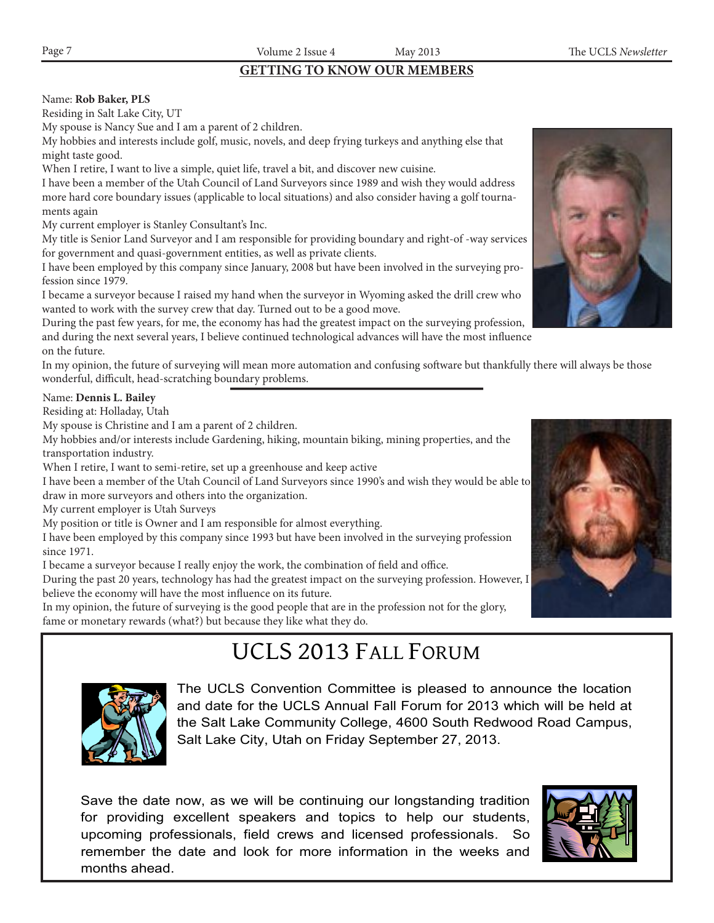## **GETTING TO KNOW OUR MEMBERS**

#### Name: **Rob Baker, PLS**

Residing in Salt Lake City, UT

My spouse is Nancy Sue and I am a parent of 2 children.

My hobbies and interests include golf, music, novels, and deep frying turkeys and anything else that might taste good.

When I retire, I want to live a simple, quiet life, travel a bit, and discover new cuisine.

I have been a member of the Utah Council of Land Surveyors since 1989 and wish they would address more hard core boundary issues (applicable to local situations) and also consider having a golf tournaments again

My current employer is Stanley Consultant's Inc.

My title is Senior Land Surveyor and I am responsible for providing boundary and right-of -way services for government and quasi-government entities, as well as private clients.

I have been employed by this company since January, 2008 but have been involved in the surveying profession since 1979.

I became a surveyor because I raised my hand when the surveyor in Wyoming asked the drill crew who wanted to work with the survey crew that day. Turned out to be a good move.

During the past few years, for me, the economy has had the greatest impact on the surveying profession, and during the next several years, I believe continued technological advances will have the most influence on the future.

In my opinion, the future of surveying will mean more automation and confusing software but thankfully there will always be those wonderful, difficult, head-scratching boundary problems.

#### Name: **Dennis L. Bailey**

Residing at: Holladay, Utah

My spouse is Christine and I am a parent of 2 children.

My hobbies and/or interests include Gardening, hiking, mountain biking, mining properties, and the transportation industry.

When I retire, I want to semi-retire, set up a greenhouse and keep active

I have been a member of the Utah Council of Land Surveyors since 1990's and wish they would be able to draw in more surveyors and others into the organization.

My current employer is Utah Surveys

My position or title is Owner and I am responsible for almost everything.

I have been employed by this company since 1993 but have been involved in the surveying profession since 1971.

I became a surveyor because I really enjoy the work, the combination of field and office.

During the past 20 years, technology has had the greatest impact on the surveying profession. However, I believe the economy will have the most influence on its future.

In my opinion, the future of surveying is the good people that are in the profession not for the glory, fame or monetary rewards (what?) but because they like what they do.

# UCLS 2013 FALL FORUM



The UCLS Convention Committee is pleased to announce the location and date for the UCLS Annual Fall Forum for 2013 which will be held at the Salt Lake Community College, 4600 South Redwood Road Campus, Salt Lake City, Utah on Friday September 27, 2013.

Save the date now, as we will be continuing our longstanding tradition for providing excellent speakers and topics to help our students, upcoming professionals, field crews and licensed professionals. remember the date and look for more information in the weeks and months ahead.





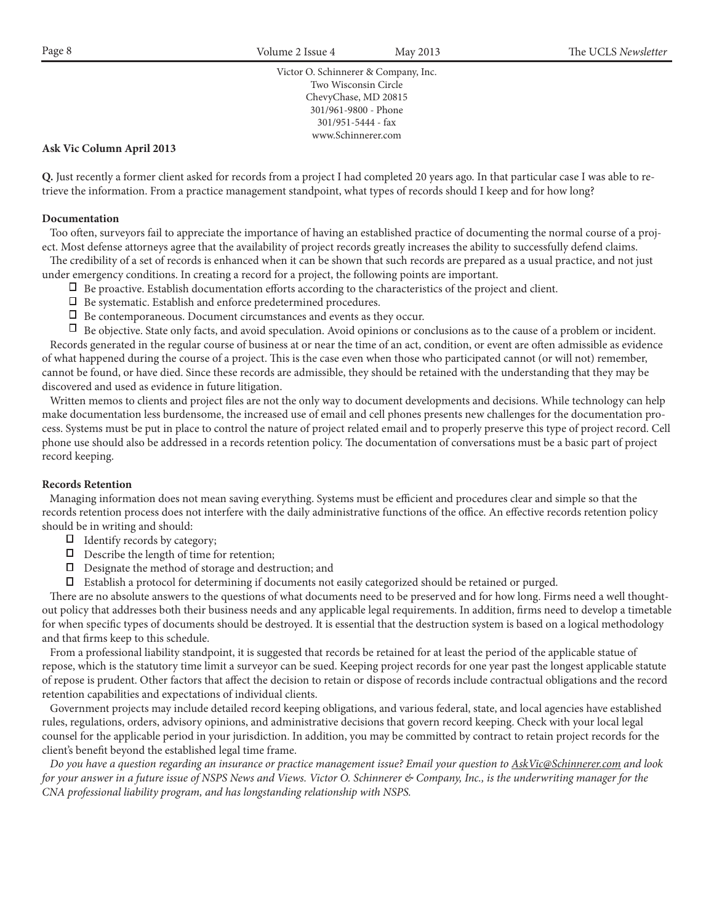Victor O. Schinnerer & Company, Inc. Two Wisconsin Circle ChevyChase, MD 20815 301/961-9800 - Phone 301/951-5444 - fax www.Schinnerer.com

#### **Ask Vic Column April 2013**

**Q.** Just recently a former client asked for records from a project I had completed 20 years ago. In that particular case I was able to retrieve the information. From a practice management standpoint, what types of records should I keep and for how long?

#### **Documentation**

 Too often, surveyors fail to appreciate the importance of having an established practice of documenting the normal course of a project. Most defense attorneys agree that the availability of project records greatly increases the ability to successfully defend claims.

 The credibility of a set of records is enhanced when it can be shown that such records are prepared as a usual practice, and not just under emergency conditions. In creating a record for a project, the following points are important.

- $\Box$  Be proactive. Establish documentation efforts according to the characteristics of the project and client.
- □ Be systematic. Establish and enforce predetermined procedures.
- Be contemporaneous. Document circumstances and events as they occur.

Be objective. State only facts, and avoid speculation. Avoid opinions or conclusions as to the cause of a problem or incident. Records generated in the regular course of business at or near the time of an act, condition, or event are often admissible as evidence of what happened during the course of a project. This is the case even when those who participated cannot (or will not) remember, cannot be found, or have died. Since these records are admissible, they should be retained with the understanding that they may be discovered and used as evidence in future litigation.

 Written memos to clients and project files are not the only way to document developments and decisions. While technology can help make documentation less burdensome, the increased use of email and cell phones presents new challenges for the documentation process. Systems must be put in place to control the nature of project related email and to properly preserve this type of project record. Cell phone use should also be addressed in a records retention policy. The documentation of conversations must be a basic part of project record keeping.

#### **Records Retention**

Managing information does not mean saving everything. Systems must be efficient and procedures clear and simple so that the records retention process does not interfere with the daily administrative functions of the office. An effective records retention policy should be in writing and should:

- $\Box$  Identify records by category;
- $\Box$  Describe the length of time for retention;
- Π, Designate the method of storage and destruction; and
- Establish a protocol for determining if documents not easily categorized should be retained or purged.

 There are no absolute answers to the questions of what documents need to be preserved and for how long. Firms need a well thoughtout policy that addresses both their business needs and any applicable legal requirements. In addition, firms need to develop a timetable for when specific types of documents should be destroyed. It is essential that the destruction system is based on a logical methodology and that firms keep to this schedule.

 From a professional liability standpoint, it is suggested that records be retained for at least the period of the applicable statue of repose, which is the statutory time limit a surveyor can be sued. Keeping project records for one year past the longest applicable statute of repose is prudent. Other factors that affect the decision to retain or dispose of records include contractual obligations and the record retention capabilities and expectations of individual clients.

 Government projects may include detailed record keeping obligations, and various federal, state, and local agencies have established rules, regulations, orders, advisory opinions, and administrative decisions that govern record keeping. Check with your local legal counsel for the applicable period in your jurisdiction. In addition, you may be committed by contract to retain project records for the client's benefit beyond the established legal time frame.

 *Do you have a question regarding an insurance or practice management issue? Email your question to AskVic@Schinnerer.com and look for your answer in a future issue of NSPS News and Views. Victor O. Schinnerer & Company, Inc., is the underwriting manager for the CNA professional liability program, and has longstanding relationship with NSPS.*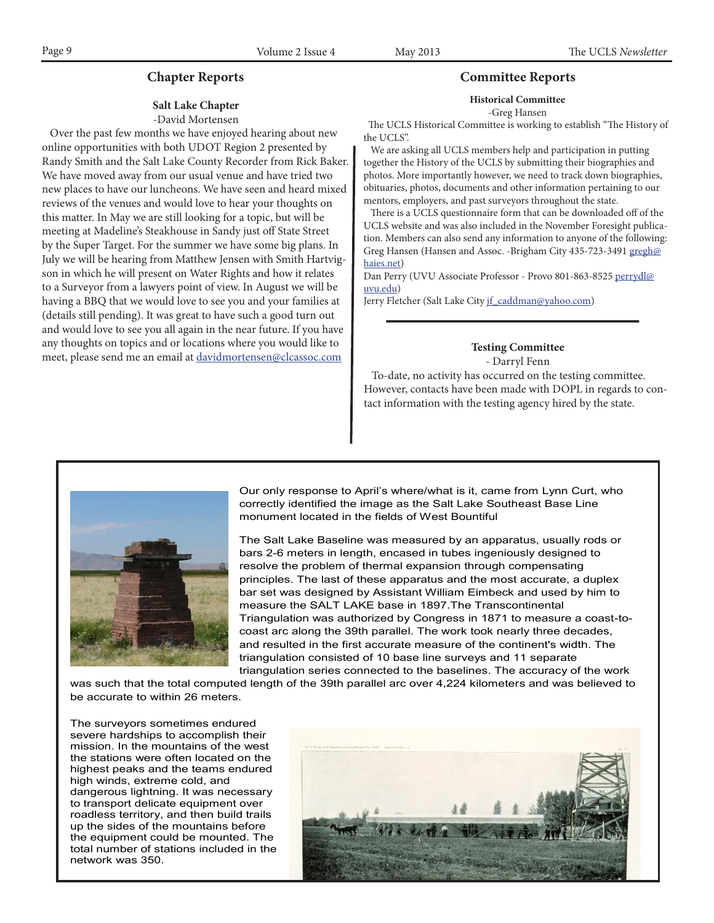## **Salt Lake Chapter**

#### -David Mortensen

 Over the past few months we have enjoyed hearing about new online opportunities with both UDOT Region 2 presented by Randy Smith and the Salt Lake County Recorder from Rick Baker. We have moved away from our usual venue and have tried two new places to have our luncheons. We have seen and heard mixed reviews of the venues and would love to hear your thoughts on this matter. In May we are still looking for a topic, but will be meeting at Madeline's Steakhouse in Sandy just off State Street by the Super Target. For the summer we have some big plans. In July we will be hearing from Matthew Jensen with Smith Hartvigson in which he will present on Water Rights and how it relates to a Surveyor from a lawyers point of view. In August we will be having a BBQ that we would love to see you and your families at (details still pending). It was great to have such a good turn out and would love to see you all again in the near future. If you have any thoughts on topics and or locations where you would like to meet, please send me an email at davidmortensen@clcassoc.com

#### **Chapter Reports Committee Reports**

#### **Historical Committee**

-Greg Hansen

 The UCLS Historical Committee is working to establish "The History of the UCLS".

 We are asking all UCLS members help and participation in putting together the History of the UCLS by submitting their biographies and photos. More importantly however, we need to track down biographies, obituaries, photos, documents and other information pertaining to our mentors, employers, and past surveyors throughout the state.

 There is a UCLS questionnaire form that can be downloaded off of the UCLS website and was also included in the November Foresight publication. Members can also send any information to anyone of the following: Greg Hansen (Hansen and Assoc. -Brigham City 435-723-3491 gregh@ haies.net)

Dan Perry (UVU Associate Professor - Provo 801-863-8525 perrydl@ uvu.edu)

Jerry Fletcher (Salt Lake City if\_caddman@yahoo.com)

**Testing Committee** - Darryl Fenn

 To-date, no activity has occurred on the testing committee. However, contacts have been made with DOPL in regards to contact information with the testing agency hired by the state.



Our only response to April's where/what is it, came from Lynn Curt, who correctly identified the image as the Salt Lake Southeast Base Line monument located in the fields of West Bountiful

The Salt Lake Baseline was measured by an apparatus, usually rods or bars 2-6 meters in length, encased in tubes ingeniously designed to resolve the problem of thermal expansion through compensating principles. The last of these apparatus and the most accurate, a duplex bar set was designed by Assistant William Eimbeck and used by him to measure the SALT LAKE base in 1897.The Transcontinental Triangulation was authorized by Congress in 1871 to measure a coast-tocoast arc along the 39th parallel. The work took nearly three decades, and resulted in the first accurate measure of the continent's width. The triangulation consisted of 10 base line surveys and 11 separate triangulation series connected to the baselines. The accuracy of the work

was such that the total computed length of the 39th parallel arc over 4,224 kilometers and was believed to be accurate to within 26 meters.

The surveyors sometimes endured severe hardships to accomplish their mission. In the mountains of the west the stations were often located on the highest peaks and the teams endured high winds, extreme cold, and dangerous lightning. It was necessary to transport delicate equipment over roadless territory, and then build trails up the sides of the mountains before the equipment could be mounted. The total number of stations included in the network was 350.